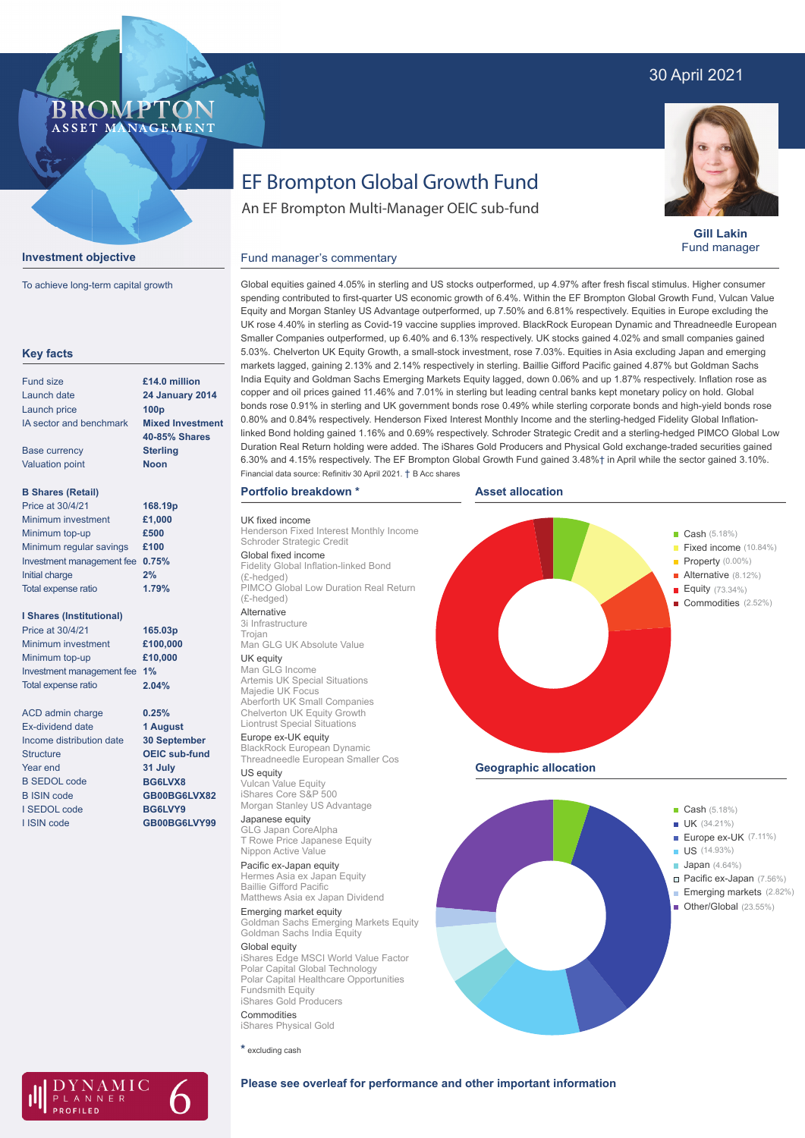# 30 April 2021

## **BROMP** ASSET MANAGEMENT



To achieve long-term capital growth

| <b>Key facts</b>                |                         |
|---------------------------------|-------------------------|
| Fund size                       | £14.0 million           |
| Launch date                     | <b>24 January 2014</b>  |
| <b>Launch price</b>             | 100 <sub>p</sub>        |
| IA sector and benchmark         | <b>Mixed Investment</b> |
|                                 | <b>40-85% Shares</b>    |
| <b>Base currency</b>            | <b>Sterling</b>         |
| <b>Valuation point</b>          | <b>Noon</b>             |
| <b>B Shares (Retail)</b>        |                         |
| Price at 30/4/21                | 168.19p                 |
| Minimum investment              | £1,000                  |
| Minimum top-up                  | £500                    |
| Minimum regular savings         | £100                    |
| Investment management fee       | 0.75%                   |
| <b>Initial charge</b>           | 2%                      |
| Total expense ratio             | 1.79%                   |
| <b>I Shares (Institutional)</b> |                         |
| Price at 30/4/21                | 165.03p                 |
| Minimum investment              | £100,000                |
| Minimum top-up                  | £10,000                 |
| Investment management fee       | 1%                      |
| Total expense ratio             | 2.04%                   |
| <b>ACD</b> admin charge         | 0.25%                   |
| <b>Fx-dividend date</b>         | 1 August                |
| Income distribution date        | <b>30 September</b>     |
| <b>Structure</b>                | <b>OEIC sub-fund</b>    |
| Year end                        | 31 July                 |
| <b>B SEDOL code</b>             | BG6LVX8                 |
| <b>B ISIN code</b>              | GB00BG6LVX82            |
| I SEDOL code                    | BG6LVY9                 |
| I ISIN code                     | GB00BG6LVY99            |

NAMIC LANNER

# EF Brompton Global Growth Fund

An EF Brompton Multi-Manager OEIC sub-fund

**Gill Lakin** Fund manager

Fixed income (10.84%)

Alternative (8.12%) Equity (73.34%) Commodities (2.52%)

# Fund manager's commentary

Global equities gained 4.05% in sterling and US stocks outperformed, up 4.97% after fresh fiscal stimulus. Higher consumer spending contributed to first-quarter US economic growth of 6.4%. Within the EF Brompton Global Growth Fund, Vulcan Value Equity and Morgan Stanley US Advantage outperformed, up 7.50% and 6.81% respectively. Equities in Europe excluding the UK rose 4.40% in sterling as Covid-19 vaccine supplies improved. BlackRock European Dynamic and Threadneedle European Smaller Companies outperformed, up 6.40% and 6.13% respectively. UK stocks gained 4.02% and small companies gained 5.03%. Chelverton UK Equity Growth, a small-stock investment, rose 7.03%. Equities in Asia excluding Japan and emerging markets lagged, gaining 2.13% and 2.14% respectively in sterling. Baillie Gifford Pacific gained 4.87% but Goldman Sachs India Equity and Goldman Sachs Emerging Markets Equity lagged, down 0.06% and up 1.87% respectively. Inflation rose as copper and oil prices gained 11.46% and 7.01% in sterling but leading central banks kept monetary policy on hold. Global bonds rose 0.91% in sterling and UK government bonds rose 0.49% while sterling corporate bonds and high-yield bonds rose 0.80% and 0.84% respectively. Henderson Fixed Interest Monthly Income and the sterling-hedged Fidelity Global Inflationlinked Bond holding gained 1.16% and 0.69% respectively. Schroder Strategic Credit and a sterling-hedged PIMCO Global Low Duration Real Return holding were added. The iShares Gold Producers and Physical Gold exchange-traded securities gained 6.30% and 4.15% respectively. The EF Brompton Global Growth Fund gained 3.48%† in April while the sector gained 3.10%. Financial data source: Refinitiv 30 April 2021. † B Acc shares

### **Portfolio breakdown \***

UK fixed income Henderson Fixed Interest Monthly Income Schroder Strategic Credit Global fixed income Fidelity Global Inflation-linked Bond (£-hedged)

PIMCO Global Low Duration Real Return (£-hedged) Alternative

3i Infrastructure Trojan Man GLG UK Absolute Value UK equity Man GLG Income

Artemis UK Special Situations Majedie UK Focus Aberforth UK Small Companies Chelverton UK Equity Growth Liontrust Special Situations

Europe ex-UK equity BlackRock European Dynamic Threadneedle European Smaller Cos

US equity Vulcan Value Equity iShares Core S&P 500 Morgan Stanley US Advantage

### Japanese equity

GLG Japan CoreAlpha T Rowe Price Japanese Equity Nippon Active Value

Pacific ex-Japan equity Hermes Asia ex Japan Equity Baillie Gifford Pacific Matthews Asia ex Japan Dividend

Emerging market equity Goldman Sachs Emerging Markets Equity Goldman Sachs India Equity

Global equity iShares Edge MSCI World Value Factor Polar Capital Global Technology Polar Capital Healthcare Opportunities Fundsmith Equity iShares Gold Producers Commodities

iShares Physical Gold

**\*** excluding cash



**Geographic allocation**



**Please see overleaf for performance and other important information**